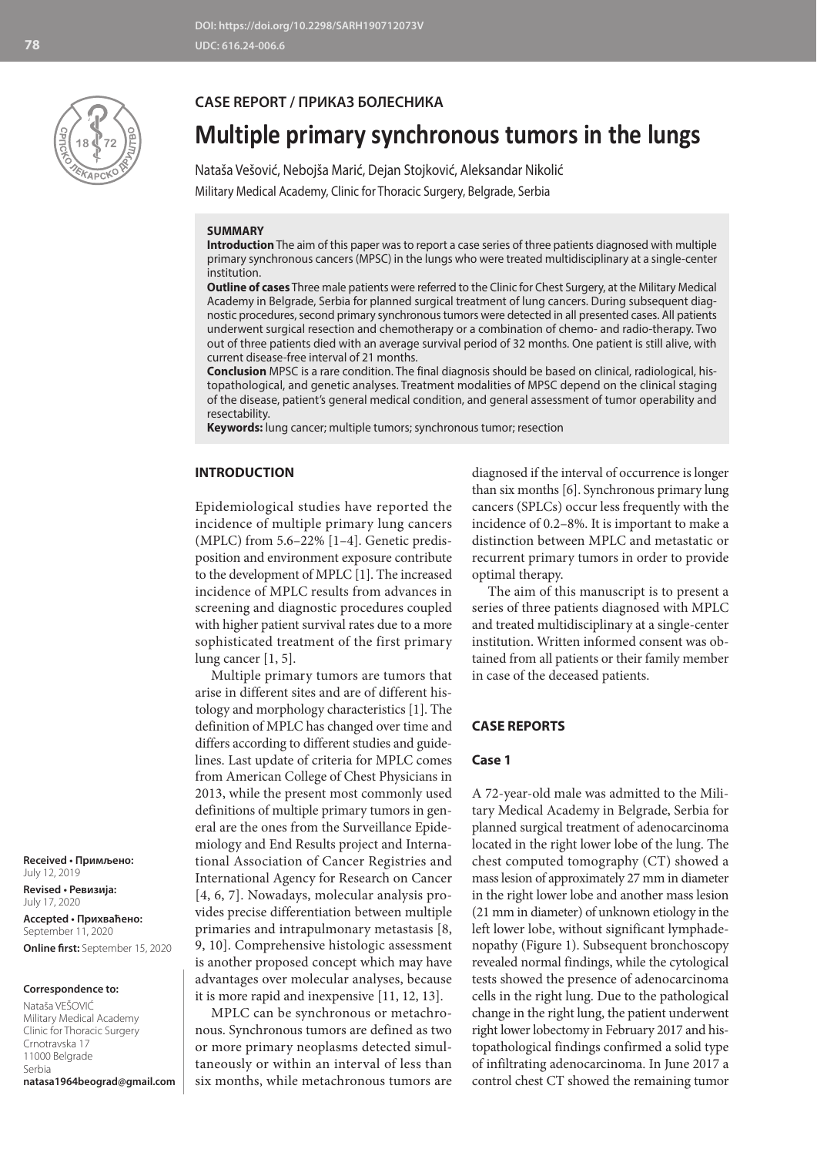

### **CASE REPORT / ПРИКАЗ БОЛЕСНИКА**

# **Multiple primary synchronous tumors in the lungs**

Nataša Vešović, Nebojša Marić, Dejan Stojković, Aleksandar Nikolić Military Medical Academy, Clinic for Thoracic Surgery, Belgrade, Serbia

#### **SUMMARY**

**Introduction** The aim of this paper was to report a case series of three patients diagnosed with multiple primary synchronous cancers (MPSC) in the lungs who were treated multidisciplinary at a single-center institution.

**Outline of cases** Three male patients were referred to the Clinic for Chest Surgery, at the Military Medical Academy in Belgrade, Serbia for planned surgical treatment of lung cancers. During subsequent diagnostic procedures, second primary synchronous tumors were detected in all presented cases. All patients underwent surgical resection and chemotherapy or a combination of chemo- and radio-therapy. Two out of three patients died with an average survival period of 32 months. One patient is still alive, with current disease-free interval of 21 months.

**Conclusion** MPSC is a rare condition. The final diagnosis should be based on clinical, radiological, histopathological, and genetic analyses. Treatment modalities of MPSC depend on the clinical staging of the disease, patient's general medical condition, and general assessment of tumor operability and resectability.

**Keywords:** lung cancer; multiple tumors; synchronous tumor; resection

#### **INTRODUCTION**

Epidemiological studies have reported the incidence of multiple primary lung cancers (MPLC) from 5.6–22% [1–4]. Genetic predisposition and environment exposure contribute to the development of MPLC [1]. The increased incidence of MPLC results from advances in screening and diagnostic procedures coupled with higher patient survival rates due to a more sophisticated treatment of the first primary lung cancer [1, 5].

Multiple primary tumors are tumors that arise in different sites and are of different histology and morphology characteristics [1]. The definition of MPLC has changed over time and differs according to different studies and guidelines. Last update of criteria for MPLC comes from American College of Chest Physicians in 2013, while the present most commonly used definitions of multiple primary tumors in general are the ones from the Surveillance Epidemiology and End Results project and International Association of Cancer Registries and International Agency for Research on Cancer [4, 6, 7]. Nowadays, molecular analysis provides precise differentiation between multiple primaries and intrapulmonary metastasis [8, 9, 10]. Comprehensive histologic assessment is another proposed concept which may have advantages over molecular analyses, because it is more rapid and inexpensive [11, 12, 13].

MPLC can be synchronous or metachronous. Synchronous tumors are defined as two or more primary neoplasms detected simultaneously or within an interval of less than six months, while metachronous tumors are diagnosed if the interval of occurrence is longer than six months [6]. Synchronous primary lung cancers (SPLCs) occur less frequently with the incidence of 0.2–8%. It is important to make a distinction between MPLC and metastatic or recurrent primary tumors in order to provide optimal therapy.

The aim of this manuscript is to present a series of three patients diagnosed with MPLC and treated multidisciplinary at a single-center institution. Written informed consent was obtained from all patients or their family member in case of the deceased patients.

## **CASE REPORTS**

#### **Case 1**

A 72-year-old male was admitted to the Military Medical Academy in Belgrade, Serbia for planned surgical treatment of adenocarcinoma located in the right lower lobe of the lung. The chest computed tomography (CT) showed a mass lesion of approximately 27 mm in diameter in the right lower lobe and another mass lesion (21 mm in diameter) of unknown etiology in the left lower lobe, without significant lymphadenopathy (Figure 1). Subsequent bronchoscopy revealed normal findings, while the cytological tests showed the presence of adenocarcinoma cells in the right lung. Due to the pathological change in the right lung, the patient underwent right lower lobectomy in February 2017 and histopathological findings confirmed a solid type of infiltrating adenocarcinoma. In June 2017 a control chest CT showed the remaining tumor

**Received • Примљено:**  July 12, 2019

**Revised • Ревизија:**  July 17, 2020 **Accepted • Прихваћено:** September 11, 2020 **Online first:** September 15, 2020

#### **Correspondence to:**

Nataša VEŠOVIĆ Military Medical Academy Clinic for Thoracic Surgery Crnotravska 17 11000 Belgrade Serbia **natasa1964beograd@gmail.com**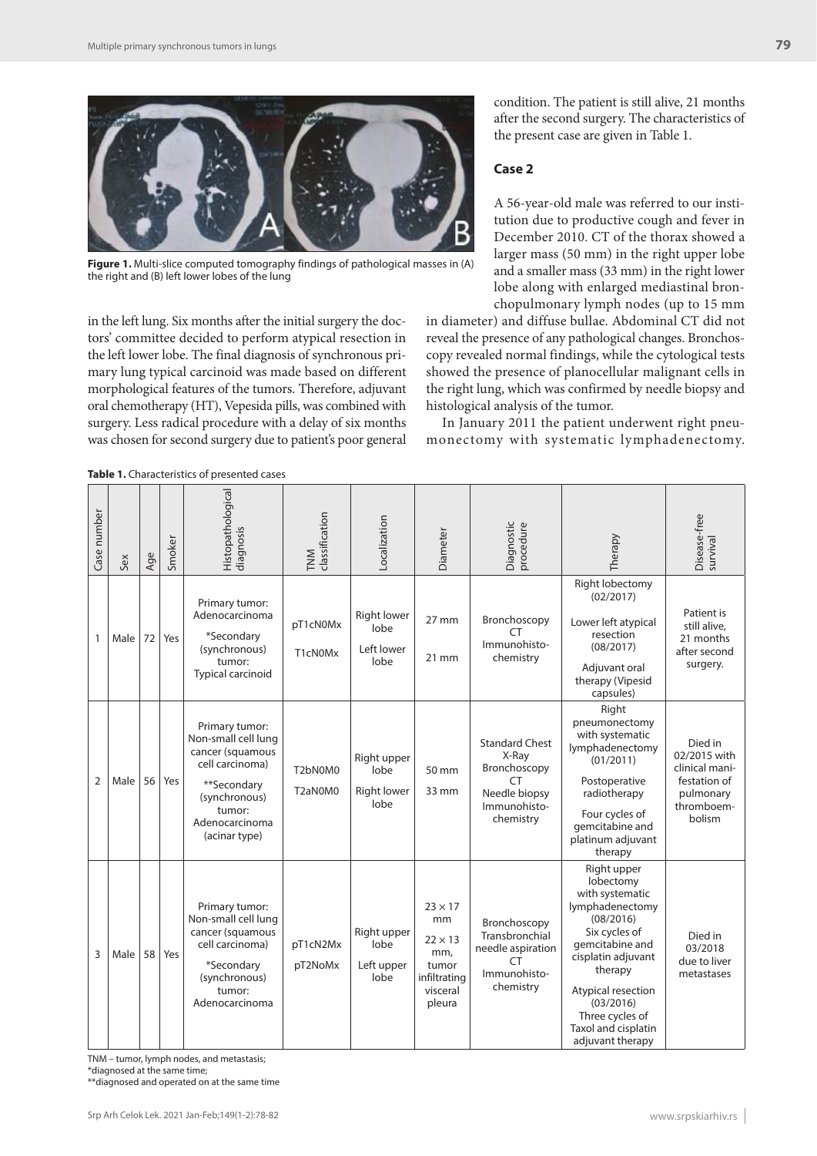

**Figure 1.** Multi-slice computed tomography findings of pathological masses in (A) the right and (B) left lower lobes of the lung

in the left lung. Six months after the initial surgery the doctors' committee decided to perform atypical resection in the left lower lobe. The final diagnosis of synchronous primary lung typical carcinoid was made based on different morphological features of the tumors. Therefore, adjuvant oral chemotherapy (HT), Vepesida pills, was combined with surgery. Less radical procedure with a delay of six months was chosen for second surgery due to patient's poor general condition. The patient is still alive, 21 months after the second surgery. The characteristics of the present case are given in Table 1.

#### **Case 2**

A 56-year-old male was referred to our institution due to productive cough and fever in December 2010. CT of the thorax showed a larger mass (50 mm) in the right upper lobe and a smaller mass (33 mm) in the right lower lobe along with enlarged mediastinal bronchopulmonary lymph nodes (up to 15 mm

in diameter) and diffuse bullae. Abdominal CT did not reveal the presence of any pathological changes. Bronchoscopy revealed normal findings, while the cytological tests showed the presence of planocellular malignant cells in the right lung, which was confirmed by needle biopsy and histological analysis of the tumor.

In January 2011 the patient underwent right pneumonectomy with systematic lymphadenectomy.

**Table 1.** Characteristics of presented cases

| <b>PODIC 1.</b> Characteristics of presented cases |      |     |        |                                                                                                                                                           |                       |                                                   |                                                                                              |                                                                                                    |                                                                                                                                                                                                                                                   |                                                                                                |
|----------------------------------------------------|------|-----|--------|-----------------------------------------------------------------------------------------------------------------------------------------------------------|-----------------------|---------------------------------------------------|----------------------------------------------------------------------------------------------|----------------------------------------------------------------------------------------------------|---------------------------------------------------------------------------------------------------------------------------------------------------------------------------------------------------------------------------------------------------|------------------------------------------------------------------------------------------------|
| Case number                                        | Sex  | Age | Smoker | Histopathological<br>diagnosis                                                                                                                            | classification<br>TNM | Localization                                      | Diameter                                                                                     | Diagnostic<br>procedure                                                                            | Therapy                                                                                                                                                                                                                                           | Disease-free<br>survival                                                                       |
| $\mathbf{1}$                                       | Male | 72  | Yes    | Primary tumor:<br>Adenocarcinoma<br>*Secondary<br>(synchronous)<br>tumor:<br>Typical carcinoid                                                            | pT1cN0Mx<br>T1cN0Mx   | <b>Right lower</b><br>lobe<br>Left lower<br>lobe  | $27$ mm<br>$21 \text{ mm}$                                                                   | Bronchoscopy<br>CΤ<br>Immunohisto-<br>chemistry                                                    | Right lobectomy<br>(02/2017)<br>Lower left atypical<br>resection<br>(08/2017)<br>Adjuvant oral<br>therapy (Vipesid<br>capsules)                                                                                                                   | Patient is<br>still alive,<br>21 months<br>after second<br>surgery.                            |
| $\overline{2}$                                     | Male | 56  | Yes    | Primary tumor:<br>Non-small cell lung<br>cancer (squamous<br>cell carcinoma)<br>**Secondary<br>(synchronous)<br>tumor:<br>Adenocarcinoma<br>(acinar type) | T2bN0M0<br>T2aN0M0    | Right upper<br>lobe<br><b>Right lower</b><br>lobe | 50 mm<br>33 mm                                                                               | <b>Standard Chest</b><br>X-Ray<br>Bronchoscopy<br>CT<br>Needle biopsy<br>Immunohisto-<br>chemistry | Right<br>pneumonectomy<br>with systematic<br>lymphadenectomy<br>(01/2011)<br>Postoperative<br>radiotherapy<br>Four cycles of<br>gemcitabine and<br>platinum adjuvant<br>therapy                                                                   | Died in<br>02/2015 with<br>clinical mani-<br>festation of<br>pulmonary<br>thromboem-<br>bolism |
| 3                                                  | Male | 58  | Yes    | Primary tumor:<br>Non-small cell lung<br>cancer (squamous<br>cell carcinoma)<br>*Secondary<br>(synchronous)<br>tumor:<br>Adenocarcinoma                   | pT1cN2Mx<br>pT2NoMx   | Right upper<br>lobe<br>Left upper<br>lobe         | $23 \times 17$<br>mm<br>$22 \times 13$<br>mm,<br>tumor<br>infiltrating<br>visceral<br>pleura | Bronchoscopy<br>Transbronchial<br>needle aspiration<br>СT<br>Immunohisto-<br>chemistry             | Right upper<br>lobectomy<br>with systematic<br>lymphadenectomy<br>(08/2016)<br>Six cycles of<br>gemcitabine and<br>cisplatin adjuvant<br>therapy<br>Atypical resection<br>(03/2016)<br>Three cycles of<br>Taxol and cisplatin<br>adjuvant therapy | Died in<br>03/2018<br>due to liver<br>metastases                                               |

TNM – tumor, lymph nodes, and metastasis;

\*diagnosed at the same time;

\*\*diagnosed and operated on at the same time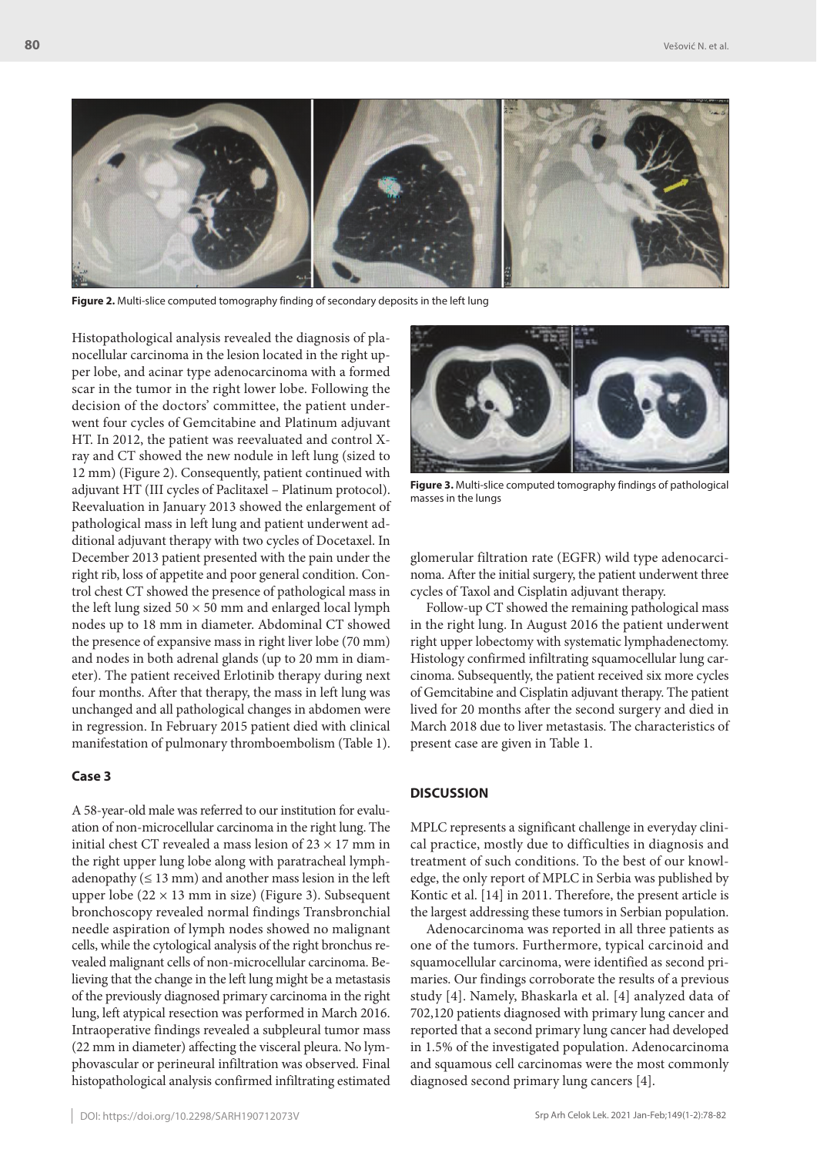

**Figure 2.** Multi-slice computed tomography finding of secondary deposits in the left lung

Histopathological analysis revealed the diagnosis of planocellular carcinoma in the lesion located in the right upper lobe, and acinar type adenocarcinoma with a formed scar in the tumor in the right lower lobe. Following the decision of the doctors' committee, the patient underwent four cycles of Gemcitabine and Platinum adjuvant HT. In 2012, the patient was reevaluated and control Xray and CT showed the new nodule in left lung (sized to 12 mm) (Figure 2). Consequently, patient continued with adjuvant HT (III cycles of Paclitaxel – Platinum protocol). Reevaluation in January 2013 showed the enlargement of pathological mass in left lung and patient underwent additional adjuvant therapy with two cycles of Docetaxel. In December 2013 patient presented with the pain under the right rib, loss of appetite and poor general condition. Control chest CT showed the presence of pathological mass in the left lung sized  $50 \times 50$  mm and enlarged local lymph nodes up to 18 mm in diameter. Abdominal CT showed the presence of expansive mass in right liver lobe (70 mm) and nodes in both adrenal glands (up to 20 mm in diameter). The patient received Erlotinib therapy during next four months. After that therapy, the mass in left lung was unchanged and all pathological changes in abdomen were in regression. In February 2015 patient died with clinical manifestation of pulmonary thromboembolism (Table 1).

#### **Case 3**

A 58-year-old male was referred to our institution for evaluation of non-microcellular carcinoma in the right lung. The initial chest CT revealed a mass lesion of 23  $\times$  17 mm in the right upper lung lobe along with paratracheal lymphadenopathy  $(≤ 13 mm)$  and another mass lesion in the left upper lobe ( $22 \times 13$  mm in size) (Figure 3). Subsequent bronchoscopy revealed normal findings Transbronchial needle aspiration of lymph nodes showed no malignant cells, while the cytological analysis of the right bronchus revealed malignant cells of non-microcellular carcinoma. Believing that the change in the left lung might be a metastasis of the previously diagnosed primary carcinoma in the right lung, left atypical resection was performed in March 2016. Intraoperative findings revealed a subpleural tumor mass (22 mm in diameter) affecting the visceral pleura. No lymphovascular or perineural infiltration was observed. Final histopathological analysis confirmed infiltrating estimated



**Figure 3.** Multi-slice computed tomography findings of pathological masses in the lungs

glomerular filtration rate (EGFR) wild type adenocarcinoma. After the initial surgery, the patient underwent three cycles of Taxol and Cisplatin adjuvant therapy.

Follow-up CT showed the remaining pathological mass in the right lung. In August 2016 the patient underwent right upper lobectomy with systematic lymphadenectomy. Histology confirmed infiltrating squamocellular lung carcinoma. Subsequently, the patient received six more cycles of Gemcitabine and Cisplatin adjuvant therapy. The patient lived for 20 months after the second surgery and died in March 2018 due to liver metastasis. The characteristics of present case are given in Table 1.

#### **DISCUSSION**

MPLC represents a significant challenge in everyday clinical practice, mostly due to difficulties in diagnosis and treatment of such conditions. To the best of our knowledge, the only report of MPLC in Serbia was published by Kontic et al. [14] in 2011. Therefore, the present article is the largest addressing these tumors in Serbian population.

Adenocarcinoma was reported in all three patients as one of the tumors. Furthermore, typical carcinoid and squamocellular carcinoma, were identified as second primaries. Our findings corroborate the results of a previous study [4]. Namely, Bhaskarla et al. [4] analyzed data of 702,120 patients diagnosed with primary lung cancer and reported that a second primary lung cancer had developed in 1.5% of the investigated population. Adenocarcinoma and squamous cell carcinomas were the most commonly diagnosed second primary lung cancers [4].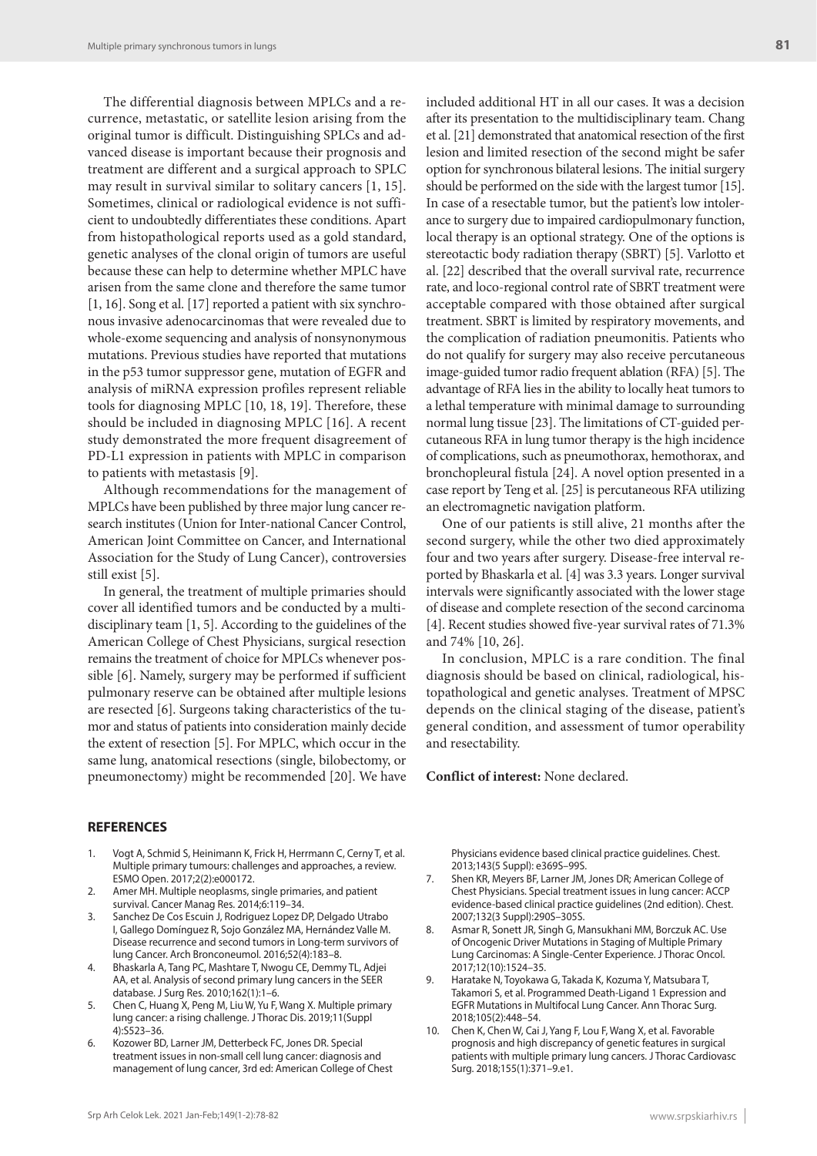The differential diagnosis between MPLCs and a recurrence, metastatic, or satellite lesion arising from the original tumor is difficult. Distinguishing SPLCs and advanced disease is important because their prognosis and treatment are different and a surgical approach to SPLC may result in survival similar to solitary cancers [1, 15]. Sometimes, clinical or radiological evidence is not sufficient to undoubtedly differentiates these conditions. Apart from histopathological reports used as a gold standard, genetic analyses of the clonal origin of tumors are useful because these can help to determine whether MPLC have arisen from the same clone and therefore the same tumor [1, 16]. Song et al. [17] reported a patient with six synchronous invasive adenocarcinomas that were revealed due to whole-exome sequencing and analysis of nonsynonymous mutations. Previous studies have reported that mutations in the p53 tumor suppressor gene, mutation of EGFR and analysis of miRNA expression profiles represent reliable tools for diagnosing MPLC [10, 18, 19]. Therefore, these should be included in diagnosing MPLC [16]. A recent study demonstrated the more frequent disagreement of PD-L1 expression in patients with MPLC in comparison to patients with metastasis [9].

Although recommendations for the management of MPLCs have been published by three major lung cancer research institutes (Union for Inter-national Cancer Control, American Joint Committee on Cancer, and International Association for the Study of Lung Cancer), controversies still exist [5].

In general, the treatment of multiple primaries should cover all identified tumors and be conducted by a multidisciplinary team [1, 5]. According to the guidelines of the American College of Chest Physicians, surgical resection remains the treatment of choice for MPLCs whenever possible [6]. Namely, surgery may be performed if sufficient pulmonary reserve can be obtained after multiple lesions are resected [6]. Surgeons taking characteristics of the tumor and status of patients into consideration mainly decide the extent of resection [5]. For MPLC, which occur in the same lung, anatomical resections (single, bilobectomy, or pneumonectomy) might be recommended [20]. We have

#### **REFERENCES**

- 1. Vogt A, Schmid S, Heinimann K, Frick H, Herrmann C, Cerny T, et al. Multiple primary tumours: challenges and approaches, a review. ESMO Open. 2017;2(2):e000172.
- 2. Amer MH. Multiple neoplasms, single primaries, and patient survival. Cancer Manag Res. 2014;6:119–34.
- 3. Sanchez De Cos Escuin J, Rodriguez Lopez DP, Delgado Utrabo I, Gallego Domínguez R, Sojo González MA, Hernández Valle M. Disease recurrence and second tumors in Long-term survivors of lung Cancer. Arch Bronconeumol. 2016;52(4):183–8.
- 4. Bhaskarla A, Tang PC, Mashtare T, Nwogu CE, Demmy TL, Adjei AA, et al. Analysis of second primary lung cancers in the SEER database. J Surg Res. 2010;162(1):1–6.
- 5. Chen C, Huang X, Peng M, Liu W, Yu F, Wang X. Multiple primary lung cancer: a rising challenge. J Thorac Dis. 2019;11(Suppl 4):S523–36.
- 6. Kozower BD, Larner JM, Detterbeck FC, Jones DR. Special treatment issues in non-small cell lung cancer: diagnosis and management of lung cancer, 3rd ed: American College of Chest

**81**

after its presentation to the multidisciplinary team. Chang et al. [21] demonstrated that anatomical resection of the first lesion and limited resection of the second might be safer option for synchronous bilateral lesions. The initial surgery should be performed on the side with the largest tumor [15]. In case of a resectable tumor, but the patient's low intolerance to surgery due to impaired cardiopulmonary function, local therapy is an optional strategy. One of the options is stereotactic body radiation therapy (SBRT) [5]. Varlotto et al. [22] described that the overall survival rate, recurrence rate, and loco-regional control rate of SBRT treatment were acceptable compared with those obtained after surgical treatment. SBRT is limited by respiratory movements, and the complication of radiation pneumonitis. Patients who do not qualify for surgery may also receive percutaneous image-guided tumor radio frequent ablation (RFA) [5]. The advantage of RFA lies in the ability to locally heat tumors to a lethal temperature with minimal damage to surrounding normal lung tissue [23]. The limitations of CT-guided percutaneous RFA in lung tumor therapy is the high incidence of complications, such as pneumothorax, hemothorax, and bronchopleural fistula [24]. A novel option presented in a case report by Teng et al. [25] is percutaneous RFA utilizing an electromagnetic navigation platform.

One of our patients is still alive, 21 months after the second surgery, while the other two died approximately four and two years after surgery. Disease-free interval reported by Bhaskarla et al. [4] was 3.3 years. Longer survival intervals were significantly associated with the lower stage of disease and complete resection of the second carcinoma [4]. Recent studies showed five-year survival rates of 71.3% and 74% [10, 26].

In conclusion, MPLC is a rare condition. The final diagnosis should be based on clinical, radiological, histopathological and genetic analyses. Treatment of MPSC depends on the clinical staging of the disease, patient's general condition, and assessment of tumor operability and resectability.

**Conflict of interest:** None declared.

Physicians evidence based clinical practice guidelines. Chest. 2013;143(5 Suppl): e369S–99S.

- 7. Shen KR, Meyers BF, Larner JM, Jones DR; American College of Chest Physicians. Special treatment issues in lung cancer: ACCP evidence-based clinical practice guidelines (2nd edition). Chest. 2007;132(3 Suppl):290S–305S.
- 8. Asmar R, Sonett JR, Singh G, Mansukhani MM, Borczuk AC. Use of Oncogenic Driver Mutations in Staging of Multiple Primary Lung Carcinomas: A Single-Center Experience. J Thorac Oncol. 2017;12(10):1524–35.
- 9. Haratake N, Toyokawa G, Takada K, Kozuma Y, Matsubara T, Takamori S, et al. Programmed Death-Ligand 1 Expression and EGFR Mutations in Multifocal Lung Cancer. Ann Thorac Surg. 2018;105(2):448–54.
- 10. Chen K, Chen W, Cai J, Yang F, Lou F, Wang X, et al. Favorable prognosis and high discrepancy of genetic features in surgical patients with multiple primary lung cancers. J Thorac Cardiovasc Surg. 2018;155(1):371–9.e1.